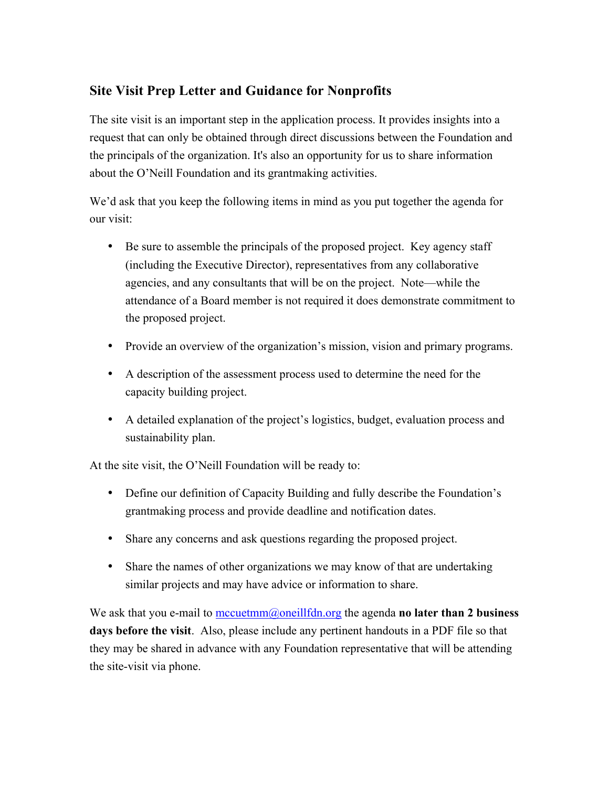## **Site Visit Prep Letter and Guidance for Nonprofits**

The site visit is an important step in the application process. It provides insights into a request that can only be obtained through direct discussions between the Foundation and the principals of the organization. It's also an opportunity for us to share information about the O'Neill Foundation and its grantmaking activities.

We'd ask that you keep the following items in mind as you put together the agenda for our visit:

- Be sure to assemble the principals of the proposed project. Key agency staff (including the Executive Director), representatives from any collaborative agencies, and any consultants that will be on the project. Note—while the attendance of a Board member is not required it does demonstrate commitment to the proposed project.
- Provide an overview of the organization's mission, vision and primary programs.
- A description of the assessment process used to determine the need for the capacity building project.
- A detailed explanation of the project's logistics, budget, evaluation process and sustainability plan.

At the site visit, the O'Neill Foundation will be ready to:

- Define our definition of Capacity Building and fully describe the Foundation's grantmaking process and provide deadline and notification dates.
- Share any concerns and ask questions regarding the proposed project.
- Share the names of other organizations we may know of that are undertaking similar projects and may have advice or information to share.

We ask that you e-mail to mccuetmm@oneillfdn.org the agenda **no later than 2 business days before the visit**. Also, please include any pertinent handouts in a PDF file so that they may be shared in advance with any Foundation representative that will be attending the site-visit via phone.